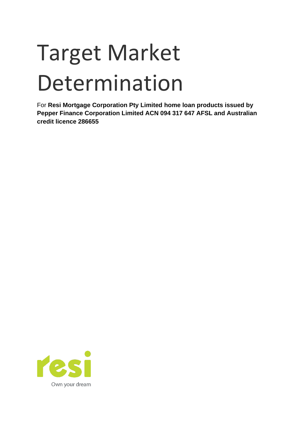# Target Market Determination

For **Resi Mortgage Corporation Pty Limited home loan products issued by Pepper Finance Corporation Limited ACN 094 317 647 AFSL and Australian credit licence 286655**

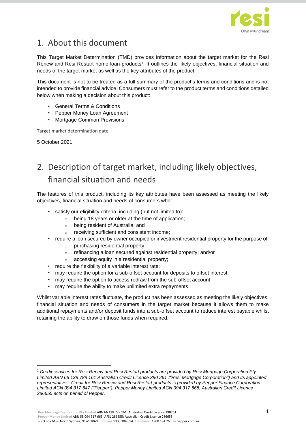

## 1. About this document

This Target Market Determination (TMD) provides information about the target market for the Resi Renew and Resi Restart home loan products<sup>1</sup>. It outlines the likely objectives, financial situation and needs of the target market as well as the key attributes of the product.

This document is not to be treated as a full summary of the product's terms and conditions and is not intended to provide financial advice. Consumers must refer to the product terms and conditions detailed below when making a decision about this product:

- General Terms & Conditions
- Pepper Money Loan Agreement
- Mortgage Common Provisions

Target market determination date

5 October 2021

# 2. Description of target market, including likely objectives, financial situation and needs

The features of this product, including its key attributes have been assessed as meeting the likely objectives, financial situation and needs of consumers who:

- satisfy our eligibility criteria, including (but not limited to):
	- o being 18 years or older at the time of application;
	- o being resident of Australia; and
	- o receiving sufficient and consistent income;
- require a loan secured by owner occupied or investment residential property for the purpose of:
	- purchasing residential property;
	- o refinancing a loan secured against residential property; and/or
	- o accessing equity in a residential property;
- require the flexibility of a variable interest rate;
- may require the option for a sub-offset account for deposits to offset interest;
- may require the option to access redraw from the sub-offset account;
- may require the ability to make unlimited extra repayments.

Whilst variable interest rates fluctuate, the product has been assessed as meeting the likely objectives, financial situation and needs of consumers in the target market because it allows them to make additional repayments and/or deposit funds into a sub-offset account to reduce interest payable whilst retaining the ability to draw on those funds when required.

<sup>1</sup> *Credit services for Resi Renew and Resi Restart products are provided by Resi Mortgage Corporation Pty Limited ABN 66 138 789 161 Australian Credit Licence 390 261 ("Resi Mortgage Corporation") and its appointed representatives. Credit for Resi Renew and Resi Restart products is provided by Pepper Finance Corporation Limited ACN 094 317 647 ("Pepper"). Pepper Money Limited ACN 094 317 665, Australian Credit Licence 286655 acts on behalf of Pepper.*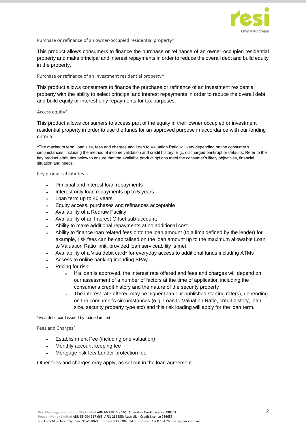

Purchase or refinance of an owner-occupied residential property^

This product allows consumers to finance the purchase or refinance of an owner-occupied residential property and make principal and interest repayments in order to reduce the overall debt and build equity in the property.

#### Purchase or refinance of an investment residential property^

This product allows consumers to finance the purchase or refinance of an investment residential property with the ability to select principal and interest repayments in order to reduce the overall debt and build equity or interest only repayments for tax purposes.

#### Access equity^

This product allows consumers to access part of the equity in their owner occupied or investment residential property in order to use the funds for an approved purpose in accordance with our lending criteria.

^The maximum term, loan size, fees and charges and Loan to Valuation Ratio will vary depending on the consumer's circumstances, including the method of income validation and credit history. E.g., discharged bankrupt or defaults. Refer to the key product attributes below to ensure that the available product options meet the consumer's likely objectives, financial situation and needs.

Key product attributes

- Principal and interest loan repayments
- Interest only loan repayments up to 5 years
- Loan term up to 40 years
- Equity access, purchases and refinances acceptable
- Availability of a Redraw Facility
- Availability of an Interest Offset sub-account;
- Ability to make additional repayments at no additional cost
- Ability to finance loan related fees onto the loan amount (to a limit defined by the lender) for example, risk fees can be capitalised on the loan amount up to the maximum allowable Loan to Valuation Ratio limit, provided loan serviceability is met.
- Availability of a Visa debit card\* for everyday access to additional funds including ATMs
- Access to online banking including BPay
- Pricing for risk:
	- $\circ$  If a loan is approved, the interest rate offered and fees and charges will depend on our assessment of a number of factors at the time of application including the consumer's credit history and the nature of the security property
	- $\circ$  The interest rate offered may be higher than our published starting rate(s), depending on the consumer's circumstances (e.g. Loan to Valuation Ratio, credit history, loan size, security property type etc) and this risk loading will apply for the loan term.

\*Visa debit card issued by Indue Limited

Fees and Charges^

- Establishment Fee (including one valuation)
- Monthly account keeping fee
- Mortgage risk fee/ Lender protection fee

Other fees and charges may apply, as set out in the loan agreement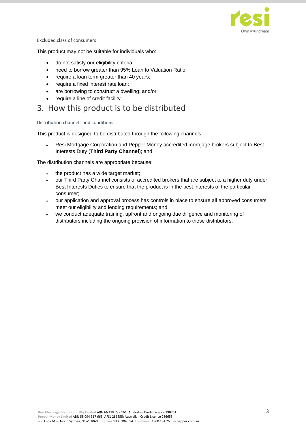

#### Excluded class of consumers

This product may not be suitable for individuals who:

- do not satisfy our eligibility criteria;
- need to borrow greater than 95% Loan to Valuation Ratio;
- require a loan term greater than 40 years;
- require a fixed interest rate loan;
- are borrowing to construct a dwelling; and/or
- require a line of credit facility.

### 3. How this product is to be distributed

#### Distribution channels and conditions

This product is designed to be distributed through the following channels:

• Resi Mortgage Corporation and Pepper Money accredited mortgage brokers subject to Best Interests Duty (**Third Party Channel**); and

The distribution channels are appropriate because:

- the product has a wide target market;
- our Third Party Channel consists of accredited brokers that are subject to a higher duty under Best Interests Duties to ensure that the product is in the best interests of the particular consumer;
- our application and approval process has controls in place to ensure all approved consumers meet our eligibility and lending requirements; and
- we conduct adequate training, upfront and ongoing due diligence and monitoring of distributors including the ongoing provision of information to these distributors.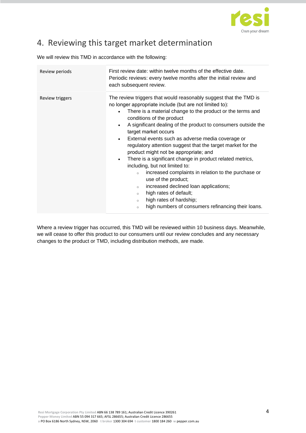

## 4. Reviewing this target market determination

We will review this TMD in accordance with the following:

| Review periods  | First review date: within twelve months of the effective date.<br>Periodic reviews: every twelve months after the initial review and<br>each subsequent review.                                                                                                                                                                                                                                                                                                                                                                                                                                                                                                                                                                                                                                                                                                                                                           |
|-----------------|---------------------------------------------------------------------------------------------------------------------------------------------------------------------------------------------------------------------------------------------------------------------------------------------------------------------------------------------------------------------------------------------------------------------------------------------------------------------------------------------------------------------------------------------------------------------------------------------------------------------------------------------------------------------------------------------------------------------------------------------------------------------------------------------------------------------------------------------------------------------------------------------------------------------------|
| Review triggers | The review triggers that would reasonably suggest that the TMD is<br>no longer appropriate include (but are not limited to):<br>There is a material change to the product or the terms and<br>$\bullet$<br>conditions of the product<br>A significant dealing of the product to consumers outside the<br>$\bullet$<br>target market occurs<br>External events such as adverse media coverage or<br>$\bullet$<br>regulatory attention suggest that the target market for the<br>product might not be appropriate; and<br>There is a significant change in product related metrics,<br>$\bullet$<br>including, but not limited to:<br>increased complaints in relation to the purchase or<br>$\circ$<br>use of the product;<br>increased declined loan applications;<br>$\circ$<br>high rates of default;<br>$\circ$<br>high rates of hardship;<br>$\circ$<br>high numbers of consumers refinancing their loans.<br>$\circ$ |

Where a review trigger has occurred, this TMD will be reviewed within 10 business days. Meanwhile, we will cease to offer this product to our consumers until our review concludes and any necessary changes to the product or TMD, including distribution methods, are made.